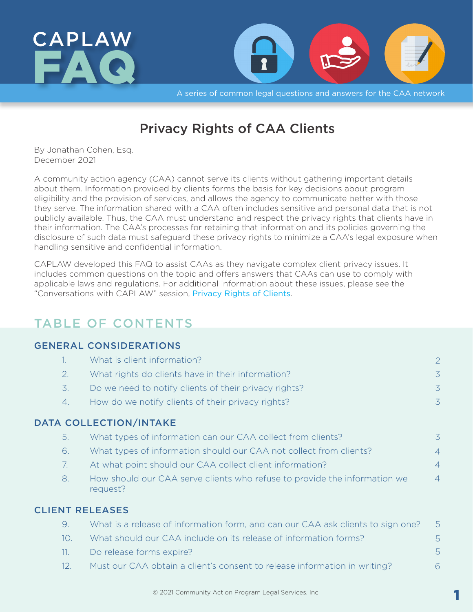<span id="page-0-0"></span>

A series of common legal questions and answers for the CAA network

# Privacy Rights of CAA Clients

By Jonathan Cohen, Esq. December 2021

A community action agency (CAA) cannot serve its clients without gathering important details about them. Information provided by clients forms the basis for key decisions about program eligibility and the provision of services, and allows the agency to communicate better with those they serve. The information shared with a CAA often includes sensitive and personal data that is not publicly available. Thus, the CAA must understand and respect the privacy rights that clients have in their information. The CAA's processes for retaining that information and its policies governing the disclosure of such data must safeguard these privacy rights to minimize a CAA's legal exposure when handling sensitive and confidential information.

CAPLAW developed this FAQ to assist CAAs as they navigate complex client privacy issues. It includes common questions on the topic and offers answers that CAAs can use to comply with applicable laws and regulations. For additional information about these issues, please see the "Conversations with CAPLAW" session, [Privacy Rights of Clients](https://resources.caplaw.org/resources/privacy-rights-of-clients/).

## TABLE OF CONTENTS

#### [GENERAL CONSIDERATIONS](#page-1-0)

| 1.  | What is client information?                                                           | 2              |
|-----|---------------------------------------------------------------------------------------|----------------|
| 2.  | What rights do clients have in their information?                                     | $\overline{3}$ |
| 3.  | Do we need to notify clients of their privacy rights?                                 | 3              |
| 4.  | How do we notify clients of their privacy rights?                                     | $\overline{3}$ |
|     | DATA COLLECTION/INTAKE                                                                |                |
| 5.  | What types of information can our CAA collect from clients?                           | 3              |
| 6.  | What types of information should our CAA not collect from clients?                    | $\overline{4}$ |
| 7.  | At what point should our CAA collect client information?                              | $\overline{4}$ |
| 8.  | How should our CAA serve clients who refuse to provide the information we<br>request? | $\overline{4}$ |
|     | <b>CLIENT RELEASES</b>                                                                |                |
| 9.  | What is a release of information form, and can our CAA ask clients to sign one?       | 5              |
| 10. | What should our CAA include on its release of information forms?                      | 5              |
| 11. | Do release forms expire?                                                              | 5              |
| 12. | Must our CAA obtain a client's consent to release information in writing?             | 6              |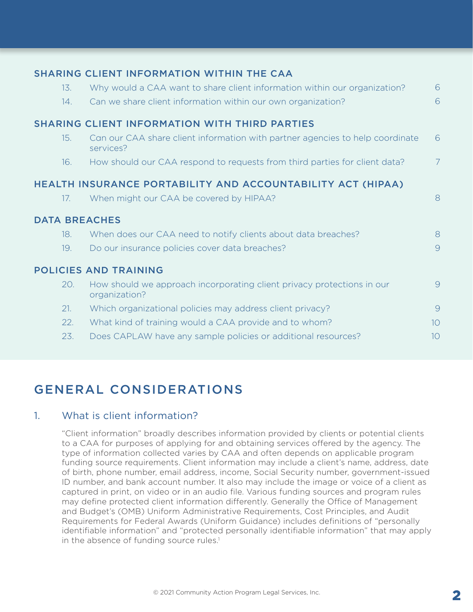<span id="page-1-0"></span>

|                                                             |     | SHARING CLIENT INFORMATION WITHIN THE CAA                                                  |                 |  |  |  |
|-------------------------------------------------------------|-----|--------------------------------------------------------------------------------------------|-----------------|--|--|--|
|                                                             | 13. | Why would a CAA want to share client information within our organization?                  | 6               |  |  |  |
|                                                             | 14. | Can we share client information within our own organization?                               | 6               |  |  |  |
|                                                             |     | <b>SHARING CLIENT INFORMATION WITH THIRD PARTIES</b>                                       |                 |  |  |  |
|                                                             | 15. | Can our CAA share client information with partner agencies to help coordinate<br>services? | 6               |  |  |  |
|                                                             | 16. | How should our CAA respond to requests from third parties for client data?                 | 7               |  |  |  |
| HEALTH INSURANCE PORTABILITY AND ACCOUNTABILITY ACT (HIPAA) |     |                                                                                            |                 |  |  |  |
|                                                             | 17. | When might our CAA be covered by HIPAA?                                                    | 8               |  |  |  |
|                                                             |     | <b>DATA BREACHES</b>                                                                       |                 |  |  |  |
|                                                             | 18. | When does our CAA need to notify clients about data breaches?                              | 8               |  |  |  |
|                                                             | 19. | Do our insurance policies cover data breaches?                                             | 9               |  |  |  |
|                                                             |     | <b>POLICIES AND TRAINING</b>                                                               |                 |  |  |  |
|                                                             | 20. | How should we approach incorporating client privacy protections in our<br>organization?    | 9               |  |  |  |
|                                                             | 21. | Which organizational policies may address client privacy?                                  | 9               |  |  |  |
|                                                             | 22. | What kind of training would a CAA provide and to whom?                                     | 10 <sup>1</sup> |  |  |  |
|                                                             | 23. | Does CAPLAW have any sample policies or additional resources?                              | 1 <sup>O</sup>  |  |  |  |

# [GENERAL CONSIDERATIONS](#page-0-0)

### [1. What is client information?](#page-0-0)

"Client information" broadly describes information provided by clients or potential clients to a CAA for purposes of applying for and obtaining services offered by the agency. The type of information collected varies by CAA and often depends on applicable program funding source requirements. Client information may include a client's name, address, date of birth, phone number, email address, income, Social Security number, government-issued ID number, and bank account number. It also may include the image or voice of a client as captured in print, on video or in an audio file. Various funding sources and program rules may define protected client information differently. Generally the Office of Management and Budget's (OMB) Uniform Administrative Requirements, Cost Principles, and Audit Requirements for Federal Awards (Uniform Guidance) includes definitions of "personally identifiable information" and "protected personally identifiable information" that may apply in the absence of funding source rules.<sup>1</sup>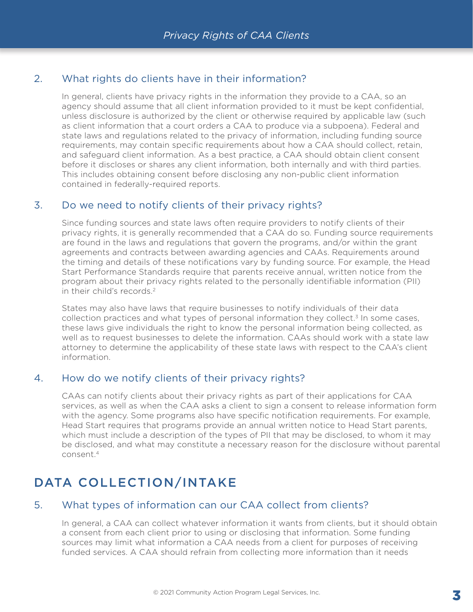### <span id="page-2-0"></span>[2. What rights do clients have in their information?](#page-0-0)

In general, clients have privacy rights in the information they provide to a CAA, so an agency should assume that all client information provided to it must be kept confidential, unless disclosure is authorized by the client or otherwise required by applicable law (such as client information that a court orders a CAA to produce via a subpoena). Federal and state laws and regulations related to the privacy of information, including funding source requirements, may contain specific requirements about how a CAA should collect, retain, and safeguard client information. As a best practice, a CAA should obtain client consent before it discloses or shares any client information, both internally and with third parties. This includes obtaining consent before disclosing any non-public client information contained in federally-required reports.

#### [3. Do we need to notify clients of their privacy rights?](#page-0-0)

Since funding sources and state laws often require providers to notify clients of their privacy rights, it is generally recommended that a CAA do so. Funding source requirements are found in the laws and regulations that govern the programs, and/or within the grant agreements and contracts between awarding agencies and CAAs. Requirements around the timing and details of these notifications vary by funding source. For example, the Head Start Performance Standards require that parents receive annual, written notice from the program about their privacy rights related to the personally identifiable information (PII) in their child's records<sup>2</sup>

States may also have laws that require businesses to notify individuals of their data collection practices and what types of personal information they collect.<sup>3</sup> In some cases, these laws give individuals the right to know the personal information being collected, as well as to request businesses to delete the information. CAAs should work with a state law attorney to determine the applicability of these state laws with respect to the CAA's client information.

#### [4. How do we notify clients of their privacy rights?](#page-0-0)

CAAs can notify clients about their privacy rights as part of their applications for CAA services, as well as when the CAA asks a client to sign a consent to release information form with the agency. Some programs also have specific notification requirements. For example, Head Start requires that programs provide an annual written notice to Head Start parents, which must include a description of the types of PII that may be disclosed, to whom it may be disclosed, and what may constitute a necessary reason for the disclosure without parental consent[.4](#page-10-0)

## [DATA COLLECTION/INTAKE](#page-0-0)

#### [5. What types of information can our CAA collect from clients?](#page-0-0)

In general, a CAA can collect whatever information it wants from clients, but it should obtain a consent from each client prior to using or disclosing that information. Some funding sources may limit what information a CAA needs from a client for purposes of receiving funded services. A CAA should refrain from collecting more information than it needs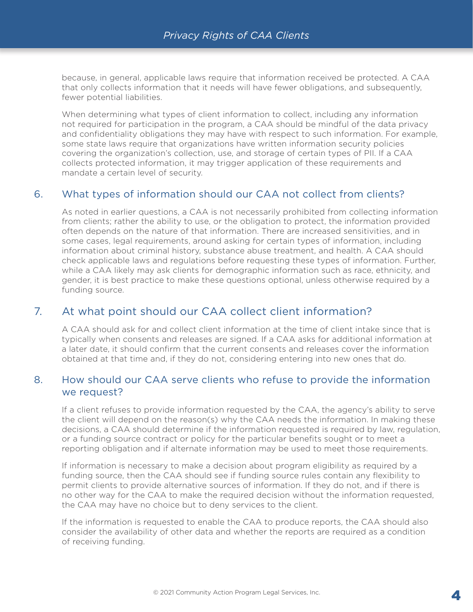<span id="page-3-0"></span>because, in general, applicable laws require that information received be protected. A CAA that only collects information that it needs will have fewer obligations, and subsequently, fewer potential liabilities.

When determining what types of client information to collect, including any information not required for participation in the program, a CAA should be mindful of the data privacy and confidentiality obligations they may have with respect to such information. For example, some state laws require that organizations have written information security policies covering the organization's collection, use, and storage of certain types of PII. If a CAA collects protected information, it may trigger application of these requirements and mandate a certain level of security.

### [6. What types of information should our CAA not collect from clients?](#page-0-0)

As noted in earlier questions, a CAA is not necessarily prohibited from collecting information from clients; rather the ability to use, or the obligation to protect, the information provided often depends on the nature of that information. There are increased sensitivities, and in some cases, legal requirements, around asking for certain types of information, including information about criminal history, substance abuse treatment, and health. A CAA should check applicable laws and regulations before requesting these types of information. Further, while a CAA likely may ask clients for demographic information such as race, ethnicity, and gender, it is best practice to make these questions optional, unless otherwise required by a funding source.

### [7. At what point should our CAA collect client information?](#page-0-0)

A CAA should ask for and collect client information at the time of client intake since that is typically when consents and releases are signed. If a CAA asks for additional information at a later date, it should confirm that the current consents and releases cover the information obtained at that time and, if they do not, considering entering into new ones that do.

#### [8. How should our CAA serve clients who refuse to provide the information](#page-0-0) [we request?](#page-0-0)

If a client refuses to provide information requested by the CAA, the agency's ability to serve the client will depend on the reason(s) why the CAA needs the information. In making these decisions, a CAA should determine if the information requested is required by law, regulation, or a funding source contract or policy for the particular benefits sought or to meet a reporting obligation and if alternate information may be used to meet those requirements.

If information is necessary to make a decision about program eligibility as required by a funding source, then the CAA should see if funding source rules contain any flexibility to permit clients to provide alternative sources of information. If they do not, and if there is no other way for the CAA to make the required decision without the information requested, the CAA may have no choice but to deny services to the client.

If the information is requested to enable the CAA to produce reports, the CAA should also consider the availability of other data and whether the reports are required as a condition of receiving funding.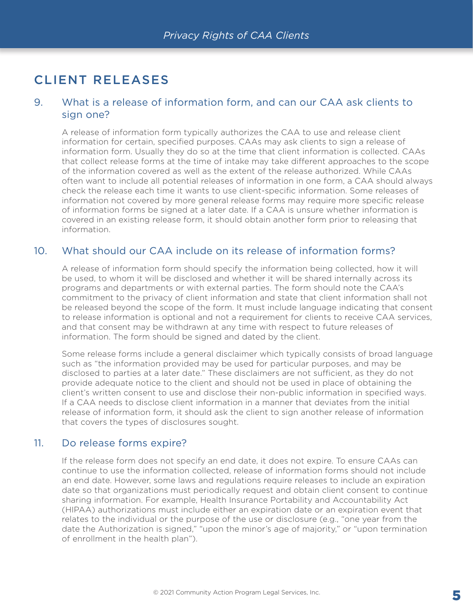# <span id="page-4-0"></span>[CLIENT RELEASES](#page-0-0)

#### [9. What is a release of information form, and can our CAA ask clients to](#page-0-0)  [sign one?](#page-0-0)

A release of information form typically authorizes the CAA to use and release client information for certain, specified purposes. CAAs may ask clients to sign a release of information form. Usually they do so at the time that client information is collected. CAAs that collect release forms at the time of intake may take different approaches to the scope of the information covered as well as the extent of the release authorized. While CAAs often want to include all potential releases of information in one form, a CAA should always check the release each time it wants to use client-specific information. Some releases of information not covered by more general release forms may require more specific release of information forms be signed at a later date. If a CAA is unsure whether information is covered in an existing release form, it should obtain another form prior to releasing that information.

#### [10. What should our CAA include on its release of information forms?](#page-0-0)

A release of information form should specify the information being collected, how it will be used, to whom it will be disclosed and whether it will be shared internally across its programs and departments or with external parties. The form should note the CAA's commitment to the privacy of client information and state that client information shall not be released beyond the scope of the form. It must include language indicating that consent to release information is optional and not a requirement for clients to receive CAA services, and that consent may be withdrawn at any time with respect to future releases of information. The form should be signed and dated by the client.

Some release forms include a general disclaimer which typically consists of broad language such as "the information provided may be used for particular purposes, and may be disclosed to parties at a later date." These disclaimers are not sufficient, as they do not provide adequate notice to the client and should not be used in place of obtaining the client's written consent to use and disclose their non-public information in specified ways. If a CAA needs to disclose client information in a manner that deviates from the initial release of information form, it should ask the client to sign another release of information that covers the types of disclosures sought.

#### [11. Do release forms expire?](#page-0-0)

If the release form does not specify an end date, it does not expire. To ensure CAAs can continue to use the information collected, release of information forms should not include an end date. However, some laws and regulations require releases to include an expiration date so that organizations must periodically request and obtain client consent to continue sharing information. For example, Health Insurance Portability and Accountability Act (HIPAA) authorizations must include either an expiration date or an expiration event that relates to the individual or the purpose of the use or disclosure (e.g., "one year from the date the Authorization is signed," "upon the minor's age of majority," or "upon termination of enrollment in the health plan").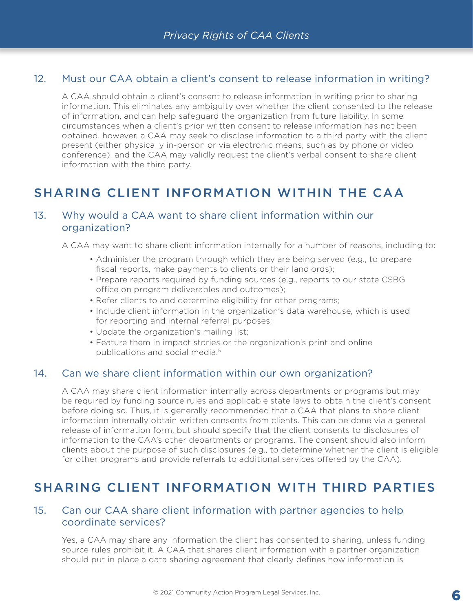### <span id="page-5-0"></span>[12. Must our CAA obtain a client's consent to release information in writing?](#page-0-0)

A CAA should obtain a client's consent to release information in writing prior to sharing information. This eliminates any ambiguity over whether the client consented to the release of information, and can help safeguard the organization from future liability. In some circumstances when a client's prior written consent to release information has not been obtained, however, a CAA may seek to disclose information to a third party with the client present (either physically in-person or via electronic means, such as by phone or video conference), and the CAA may validly request the client's verbal consent to share client information with the third party.

## [SHARING CLIENT INFORMATION WITHIN THE CAA](#page-1-0)

### [13. Why would a CAA want to share client information within our](#page-1-0)  [organization?](#page-1-0)

A CAA may want to share client information internally for a number of reasons, including to:

- Administer the program through which they are being served (e.g., to prepare fiscal reports, make payments to clients or their landlords);
- Prepare reports required by funding sources (e.g., reports to our state CSBG office on program deliverables and outcomes);
- Refer clients to and determine eligibility for other programs;
- Include client information in the organization's data warehouse, which is used for reporting and internal referral purposes;
- Update the organization's mailing list;
- Feature them in impact stories or the organization's print and online publications and social media.<sup>5</sup>

#### [14. Can we share client information within our own organization?](#page-1-0)

A CAA may share client information internally across departments or programs but may be required by funding source rules and applicable state laws to obtain the client's consent before doing so. Thus, it is generally recommended that a CAA that plans to share client information internally obtain written consents from clients. This can be done via a general release of information form, but should specify that the client consents to disclosures of information to the CAA's other departments or programs. The consent should also inform clients about the purpose of such disclosures (e.g., to determine whether the client is eligible for other programs and provide referrals to additional services offered by the CAA).

## [SHARING CLIENT INFORMATION WITH THIRD PARTIES](#page-1-0)

#### [15. Can our CAA share client information with partner agencies to help](#page-1-0)  [coordinate services?](#page-1-0)

Yes, a CAA may share any information the client has consented to sharing, unless funding source rules prohibit it. A CAA that shares client information with a partner organization should put in place a data sharing agreement that clearly defines how information is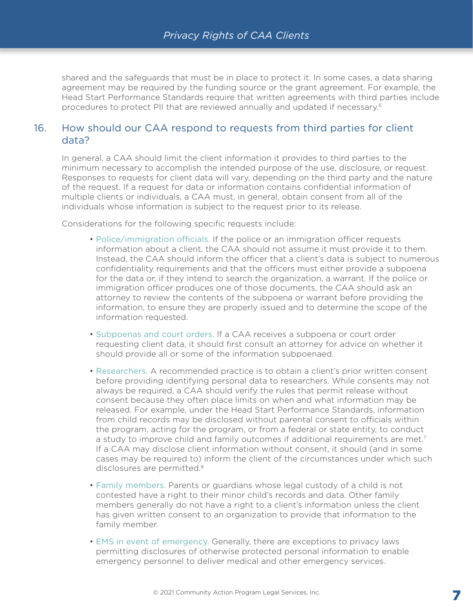<span id="page-6-0"></span>shared and the safeguards that must be in place to protect it. In some cases, a data sharing agreement may be required by the funding source or the grant agreement. For example, the Head Start Performance Standards require that written agreements with third parties include procedures to protect PII that are reviewed annually and updated if necessary[.6](#page-10-0)

#### [16. How should our CAA respond to requests from third parties for client](#page-1-0)  [data?](#page-1-0)

In general, a CAA should limit the client information it provides to third parties to the minimum necessary to accomplish the intended purpose of the use, disclosure, or request. Responses to requests for client data will vary, depending on the third party and the nature of the request. If a request for data or information contains confidential information of multiple clients or individuals, a CAA must, in general, obtain consent from all of the individuals whose information is subject to the request prior to its release.

Considerations for the following specific requests include:

- Police/immigration officials. If the police or an immigration officer requests information about a client, the CAA should not assume it must provide it to them. Instead, the CAA should inform the officer that a client's data is subject to numerous confidentiality requirements and that the officers must either provide a subpoena for the data or, if they intend to search the organization, a warrant. If the police or immigration officer produces one of those documents, the CAA should ask an attorney to review the contents of the subpoena or warrant before providing the information, to ensure they are properly issued and to determine the scope of the information requested.
- Subpoenas and court orders. If a CAA receives a subpoena or court order requesting client data, it should first consult an attorney for advice on whether it should provide all or some of the information subpoenaed.
- Researchers. A recommended practice is to obtain a client's prior written consent before providing identifying personal data to researchers. While consents may not always be required, a CAA should verify the rules that permit release without consent because they often place limits on when and what information may be released. For example, under the Head Start Performance Standards, information from child records may be disclosed without parental consent to officials within the program, acting for the program, or from a federal or state entity, to conduct a study to improve child and family outcomes if additional requirements are met.<sup>[7](#page-10-0)</sup> If a CAA may disclose client information without consent, it should (and in some cases may be required to) inform the client of the circumstances under which such disclosures are permitted.<sup>[8](#page-10-0)</sup>
- Family members. Parents or guardians whose legal custody of a child is not contested have a right to their minor child's records and data. Other family members generally do not have a right to a client's information unless the client has given written consent to an organization to provide that information to the family member.
- EMS in event of emergency. Generally, there are exceptions to privacy laws permitting disclosures of otherwise protected personal information to enable emergency personnel to deliver medical and other emergency services.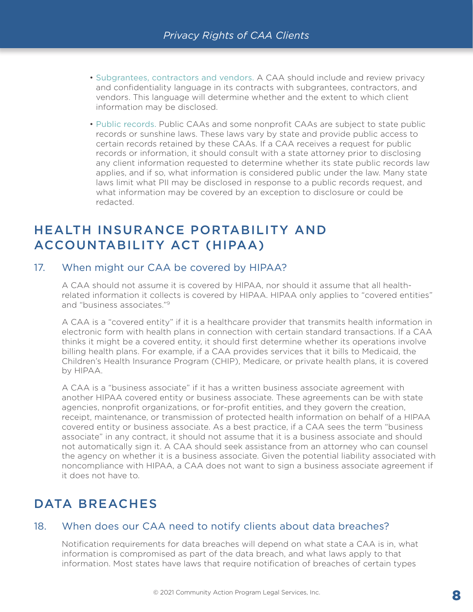- <span id="page-7-0"></span> • Subgrantees, contractors and vendors. A CAA should include and review privacy and confidentiality language in its contracts with subgrantees, contractors, and vendors. This language will determine whether and the extent to which client information may be disclosed.
- Public records. Public CAAs and some nonprofit CAAs are subject to state public records or sunshine laws. These laws vary by state and provide public access to certain records retained by these CAAs. If a CAA receives a request for public records or information, it should consult with a state attorney prior to disclosing any client information requested to determine whether its state public records law applies, and if so, what information is considered public under the law. Many state laws limit what PII may be disclosed in response to a public records request, and what information may be covered by an exception to disclosure or could be redacted.

### [HEALTH INSURANCE PORTABILITY AND](#page-1-0)  [ACCOUNTABILITY ACT \(HIPAA\)](#page-1-0)

#### [17. When might our CAA be covered by HIPAA?](#page-1-0)

A CAA should not assume it is covered by HIPAA, nor should it assume that all healthrelated information it collects is covered by HIPAA. HIPAA only applies to "covered entities" and "business associates.["9](#page-10-0)

A CAA is a "covered entity" if it is a healthcare provider that transmits health information in electronic form with health plans in connection with certain standard transactions. If a CAA thinks it might be a covered entity, it should first determine whether its operations involve billing health plans. For example, if a CAA provides services that it bills to Medicaid, the Children's Health Insurance Program (CHIP), Medicare, or private health plans, it is covered by HIPAA.

A CAA is a "business associate" if it has a written business associate agreement with another HIPAA covered entity or business associate. These agreements can be with state agencies, nonprofit organizations, or for-profit entities, and they govern the creation, receipt, maintenance, or transmission of protected health information on behalf of a HIPAA covered entity or business associate. As a best practice, if a CAA sees the term "business associate" in any contract, it should not assume that it is a business associate and should not automatically sign it. A CAA should seek assistance from an attorney who can counsel the agency on whether it is a business associate. Given the potential liability associated with noncompliance with HIPAA, a CAA does not want to sign a business associate agreement if it does not have to.

## [DATA BREACHES](#page-1-0)

### [18. When does our CAA need to notify clients about data breaches?](#page-1-0)

Notification requirements for data breaches will depend on what state a CAA is in, what information is compromised as part of the data breach, and what laws apply to that information. Most states have laws that require notification of breaches of certain types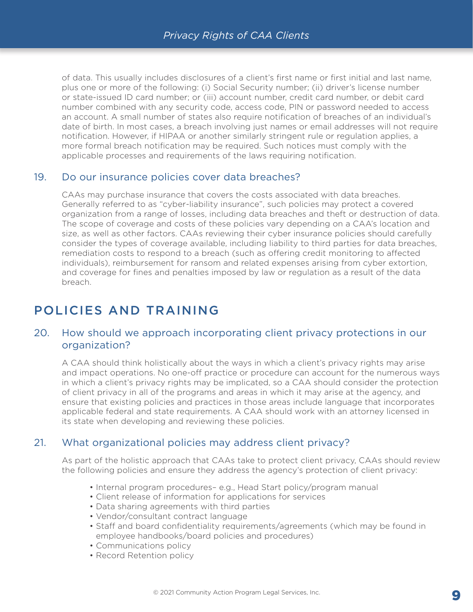<span id="page-8-0"></span>of data. This usually includes disclosures of a client's first name or first initial and last name, plus one or more of the following: (i) Social Security number; (ii) driver's license number or state-issued ID card number; or (iii) account number, credit card number, or debit card number combined with any security code, access code, PIN or password needed to access an account. A small number of states also require notification of breaches of an individual's date of birth. In most cases, a breach involving just names or email addresses will not require notification. However, if HIPAA or another similarly stringent rule or regulation applies, a more formal breach notification may be required. Such notices must comply with the applicable processes and requirements of the laws requiring notification.

#### [19. Do our insurance policies cover data breaches?](#page-1-0)

CAAs may purchase insurance that covers the costs associated with data breaches. Generally referred to as "cyber-liability insurance", such policies may protect a covered organization from a range of losses, including data breaches and theft or destruction of data. The scope of coverage and costs of these policies vary depending on a CAA's location and size, as well as other factors. CAAs reviewing their cyber insurance policies should carefully consider the types of coverage available, including liability to third parties for data breaches, remediation costs to respond to a breach (such as offering credit monitoring to affected individuals), reimbursement for ransom and related expenses arising from cyber extortion, and coverage for fines and penalties imposed by law or regulation as a result of the data breach.

## [POLICIES AND TRAINING](#page-1-0)

#### [20. How should we approach incorporating client privacy protections in our](#page-1-0)  [organization?](#page-1-0)

A CAA should think holistically about the ways in which a client's privacy rights may arise and impact operations. No one-off practice or procedure can account for the numerous ways in which a client's privacy rights may be implicated, so a CAA should consider the protection of client privacy in all of the programs and areas in which it may arise at the agency, and ensure that existing policies and practices in those areas include language that incorporates applicable federal and state requirements. A CAA should work with an attorney licensed in its state when developing and reviewing these policies.

#### [21. What organizational policies may address client privacy?](#page-1-0)

As part of the holistic approach that CAAs take to protect client privacy, CAAs should review the following policies and ensure they address the agency's protection of client privacy:

- Internal program procedures– e.g., Head Start policy/program manual
- Client release of information for applications for services
- Data sharing agreements with third parties
- Vendor/consultant contract language
- Staff and board confidentiality requirements/agreements (which may be found in employee handbooks/board policies and procedures)
- Communications policy
- Record Retention policy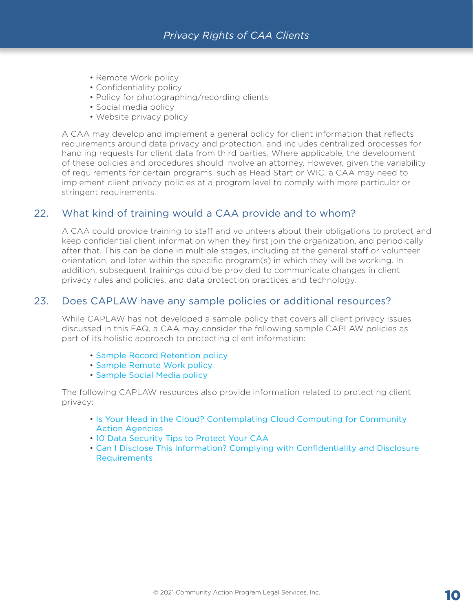- <span id="page-9-0"></span>• Remote Work policy
- Confidentiality policy
- Policy for photographing/recording clients
- Social media policy
- Website privacy policy

A CAA may develop and implement a general policy for client information that reflects requirements around data privacy and protection, and includes centralized processes for handling requests for client data from third parties. Where applicable, the development of these policies and procedures should involve an attorney. However, given the variability of requirements for certain programs, such as Head Start or WIC, a CAA may need to implement client privacy policies at a program level to comply with more particular or stringent requirements.

#### [22. What kind of training would a CAA provide and to whom?](#page-1-0)

A CAA could provide training to staff and volunteers about their obligations to protect and keep confidential client information when they first join the organization, and periodically after that. This can be done in multiple stages, including at the general staff or volunteer orientation, and later within the specific program(s) in which they will be working. In addition, subsequent trainings could be provided to communicate changes in client privacy rules and policies, and data protection practices and technology.

#### [23. Does CAPLAW have any sample policies or additional resources?](#page-1-0)

While CAPLAW has not developed a sample policy that covers all client privacy issues discussed in this FAQ, a CAA may consider the following sample CAPLAW policies as part of its holistic approach to protecting client information:

- [Sample Record Retention policy](https://resources.caplaw.org/resources/sample-record-retention-policy/)
- • [Sample Remote Work policy](https://resources.caplaw.org/resources/sample-remote-work-policy/)
- • [Sample Social Media policy](https://resources.caplaw.org/resources/sample-social-media-policy/)

 The following CAPLAW resources also provide information related to protecting client privacy:

- [Is Your Head in the Cloud? Contemplating Cloud Computing for Community](https://www.caplaw.org/resources/PublicationDocuments/CAPLAW_CloudComputingforCAAs_August2019.pdf)  [Action Agencies](https://www.caplaw.org/resources/PublicationDocuments/CAPLAW_CloudComputingforCAAs_August2019.pdf)
- [10 Data Security Tips to Protect Your CAA](https://www.caplaw.org/resources/articlesbytopic/Technology/CAPLAW_10DataSecurityTips_Feb2018.pdf)
- [Can I Disclose This Information? Complying with Confidentiality and Disclosure](https://www.caplaw.org/resources/articlesbytopic/Employment/CAPLAW_CanIDiscloseThisInformation_2000.pdf)  [Requirements](https://www.caplaw.org/resources/articlesbytopic/Employment/CAPLAW_CanIDiscloseThisInformation_2000.pdf)